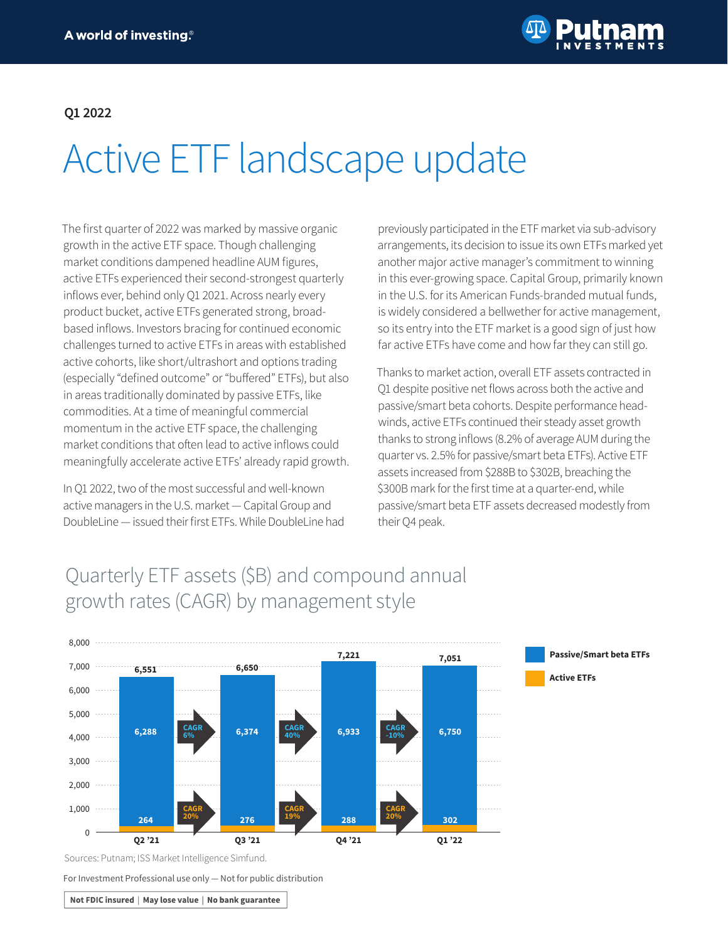

#### **Q1 2022**

# Active ETF landscape update

The first quarter of 2022 was marked by massive organic growth in the active ETF space. Though challenging market conditions dampened headline AUM figures, active ETFs experienced their second-strongest quarterly inflows ever, behind only Q1 2021. Across nearly every product bucket, active ETFs generated strong, broadbased inflows. Investors bracing for continued economic challenges turned to active ETFs in areas with established active cohorts, like short/ultrashort and options trading (especially "defined outcome" or "buffered" ETFs), but also in areas traditionally dominated by passive ETFs, like commodities. At a time of meaningful commercial momentum in the active ETF space, the challenging market conditions that often lead to active inflows could meaningfully accelerate active ETFs' already rapid growth.

In Q1 2022, two of the most successful and well-known active managers in the U.S. market — Capital Group and DoubleLine — issued their first ETFs. While DoubleLine had

previously participated in the ETF market via sub-advisory arrangements, its decision to issue its own ETFs marked yet another major active manager's commitment to winning in this ever-growing space. Capital Group, primarily known in the U.S. for its American Funds-branded mutual funds, is widely considered a bellwether for active management, so its entry into the ETF market is a good sign of just how far active ETFs have come and how far they can still go.

Thanks to market action, overall ETF assets contracted in Q1 despite positive net flows across both the active and passive/smart beta cohorts. Despite performance headwinds, active ETFs continued their steady asset growth thanks to strong inflows (8.2% of average AUM during the quarter vs. 2.5% for passive/smart beta ETFs). Active ETF assets increased from \$288B to \$302B, breaching the \$300B mark for the first time at a quarter-end, while passive/smart beta ETF assets decreased modestly from their Q4 peak.

## Quarterly ETF assets (\$B) and compound annual growth rates (CAGR) by management style



Sources: Putnam; ISS Market Intelligence Simfund.

For Investment Professional use only — Not for public distribution

Not FDIC insured | May lose value | No bank guarantee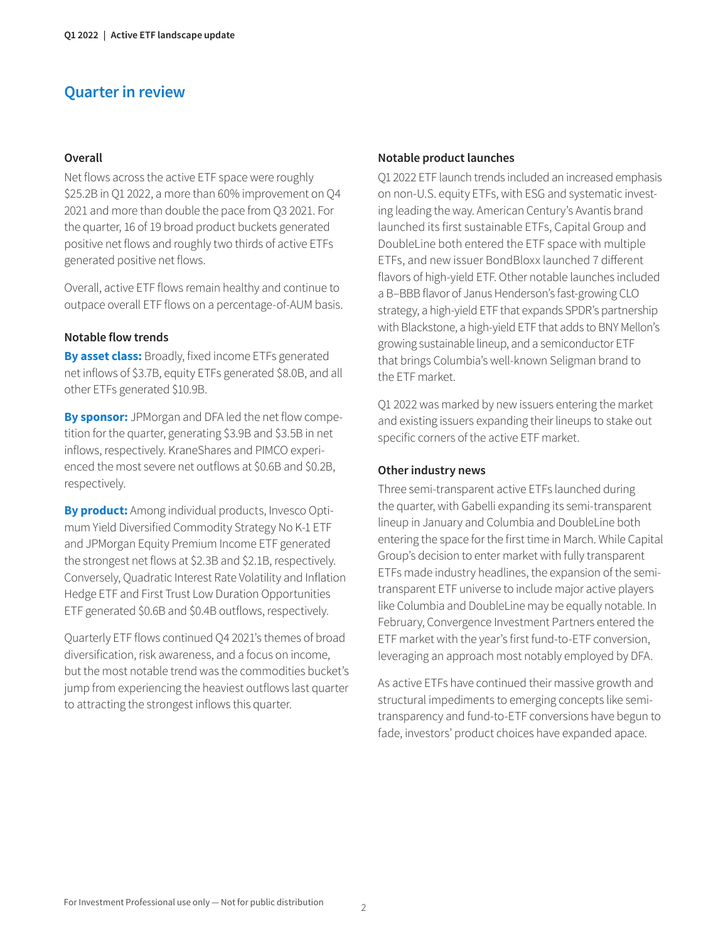### **Quarter in review**

#### **Overall**

Net flows across the active ETF space were roughly \$25.2B in Q1 2022, a more than 60% improvement on Q4 2021 and more than double the pace from Q3 2021. For the quarter, 16 of 19 broad product buckets generated positive net flows and roughly two thirds of active ETFs generated positive net flows.

Overall, active ETF flows remain healthy and continue to outpace overall ETF flows on a percentage-of-AUM basis.

#### **Notable flow trends**

**By asset class:** Broadly, fixed income ETFs generated net inflows of \$3.7B, equity ETFs generated \$8.0B, and all other ETFs generated \$10.9B.

**By sponsor:** JPMorgan and DFA led the net flow competition for the quarter, generating \$3.9B and \$3.5B in net inflows, respectively. KraneShares and PIMCO experienced the most severe net outflows at \$0.6B and \$0.2B, respectively.

**By product:** Among individual products, Invesco Optimum Yield Diversified Commodity Strategy No K-1 ETF and JPMorgan Equity Premium Income ETF generated the strongest net flows at \$2.3B and \$2.1B, respectively. Conversely, Quadratic Interest Rate Volatility and Inflation Hedge ETF and First Trust Low Duration Opportunities ETF generated \$0.6B and \$0.4B outflows, respectively.

Quarterly ETF flows continued Q4 2021's themes of broad diversification, risk awareness, and a focus on income, but the most notable trend was the commodities bucket's jump from experiencing the heaviest outflows last quarter to attracting the strongest inflows this quarter.

#### **Notable product launches**

Q1 2022 ETF launch trends included an increased emphasis on non-U.S. equity ETFs, with ESG and systematic investing leading the way. American Century's Avantis brand launched its first sustainable ETFs, Capital Group and DoubleLine both entered the ETF space with multiple ETFs, and new issuer BondBloxx launched 7 different flavors of high-yield ETF. Other notable launches included a B–BBB flavor of Janus Henderson's fast-growing CLO strategy, a high-yield ETF that expands SPDR's partnership with Blackstone, a high-yield ETF that adds to BNY Mellon's growing sustainable lineup, and a semiconductor ETF that brings Columbia's well-known Seligman brand to the ETF market.

Q1 2022 was marked by new issuers entering the market and existing issuers expanding their lineups to stake out specific corners of the active ETF market.

#### **Other industry news**

Three semi-transparent active ETFs launched during the quarter, with Gabelli expanding its semi-transparent lineup in January and Columbia and DoubleLine both entering the space for the first time in March. While Capital Group's decision to enter market with fully transparent ETFs made industry headlines, the expansion of the semitransparent ETF universe to include major active players like Columbia and DoubleLine may be equally notable. In February, Convergence Investment Partners entered the ETF market with the year's first fund-to-ETF conversion, leveraging an approach most notably employed by DFA.

As active ETFs have continued their massive growth and structural impediments to emerging concepts like semitransparency and fund-to-ETF conversions have begun to fade, investors' product choices have expanded apace.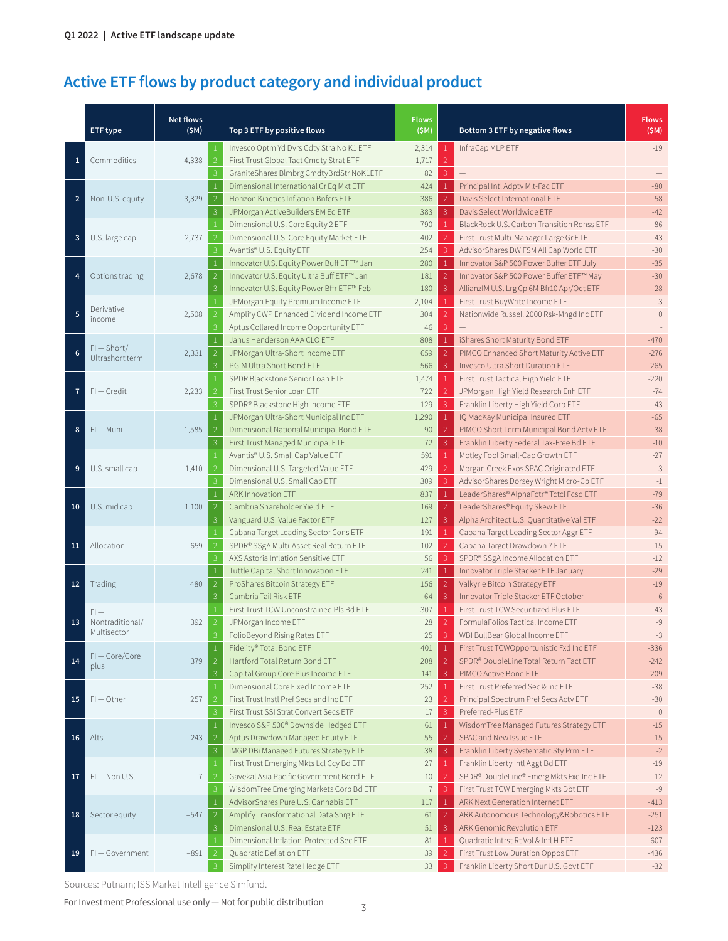## **Active ETF flows by product category and individual product**

|                         | ETF type                                 | <b>Net flows</b><br>(SM) | Top 3 ETF by positive flows                                      | <b>Flows</b><br>(SM) |                                | Bottom 3 ETF by negative flows             | <b>Flows</b><br>(SM) |
|-------------------------|------------------------------------------|--------------------------|------------------------------------------------------------------|----------------------|--------------------------------|--------------------------------------------|----------------------|
|                         |                                          |                          | $\mathbf{1}$<br>Invesco Optm Yd Dvrs Cdty Stra No K1 ETF         | 2,314                | $\mathbf{1}$                   | InfraCap MLP ETF                           | $-19$                |
| 1                       | Commodities                              | 4,338                    | $\overline{2}$<br>First Trust Global Tact Cmdty Strat ETF        | 1,717                | $\overline{2}$                 |                                            |                      |
|                         |                                          |                          | $\mathbf{3}$<br>GraniteShares Blmbrg CmdtyBrdStr NoK1ETF         | 82                   | 3                              |                                            |                      |
| $\overline{\mathbf{c}}$ | Non-U.S. equity                          | 3,329                    | $\mathbf{1}$<br>Dimensional International Cr Eq Mkt ETF          | 424                  | $\mathbf{1}$                   | Principal Intl Adptv Mlt-Fac ETF           | $-80$                |
|                         |                                          |                          | $\overline{2}$<br>Horizon Kinetics Inflation Bnfcrs ETF          | 386                  | $\overline{2}$                 | Davis Select International ETF             | $-58$                |
|                         |                                          |                          | 3<br>JPMorgan ActiveBuilders EM Eq ETF                           | 383                  | $\mathbf{3}$                   | Davis Select Worldwide ETF                 | $-42$                |
| 3                       | U.S. large cap                           | 2,737                    | $\mathbf{1}$<br>Dimensional U.S. Core Equity 2 ETF               | 790                  | $\mathbf{1}$                   | BlackRock U.S. Carbon Transition Rdnss ETF | $-86$                |
|                         |                                          |                          | $\overline{2}$<br>Dimensional U.S. Core Equity Market ETF        | 402                  | $\overline{2}$                 | First Trust Multi-Manager Large Gr ETF     | $-43$                |
|                         |                                          |                          | 3<br>Avantis® U.S. Equity ETF                                    | 254                  | 3                              | AdvisorShares DW FSM All Cap World ETF     | $-30$                |
|                         |                                          |                          | $\mathbf{1}$<br>Innovator U.S. Equity Power Buff ETF™ Jan        | 280                  | $\mathbf{1}$                   | Innovator S&P 500 Power Buffer ETF July    | $-35$                |
| 4                       | Options trading                          | 2,678                    | $\overline{2}$<br>Innovator U.S. Equity Ultra Buff ETF™ Jan      | 181                  | $\overline{2}$                 | Innovator S&P 500 Power Buffer ETF™ May    | $-30$                |
|                         |                                          |                          | $\mathbf{3}$<br>Innovator U.S. Equity Power Bffr ETF™ Feb        | 180                  | 3                              | AllianzIM U.S. Lrg Cp 6M Bfr10 Apr/Oct ETF | $-28$                |
|                         |                                          |                          | $\mathbf{1}$<br>JPMorgan Equity Premium Income ETF               | 2,104                | $\mathbf{1}$                   | First Trust BuyWrite Income ETF            | $-3$                 |
| 5                       | Derivative                               | 2,508                    | $\overline{2}$<br>Amplify CWP Enhanced Dividend Income ETF       | 304                  | $\overline{2}$                 | Nationwide Russell 2000 Rsk-Mngd Inc ETF   | $\mathbf{0}$         |
|                         | income                                   |                          | Aptus Collared Income Opportunity ETF<br>3                       | 46                   | 3                              |                                            |                      |
|                         |                                          |                          | $\mathbf{1}$<br>Janus Henderson AAA CLO ETF                      | 808                  | $\mathbf{1}$                   | iShares Short Maturity Bond ETF            | $-470$               |
| 6                       | $FI - Short/$<br>Ultrashort term         | 2,331                    | $\vert 2 \vert$<br>JPMorgan Ultra-Short Income ETF               | 659                  | $\overline{2}$                 | PIMCO Enhanced Short Maturity Active ETF   | $-276$               |
|                         |                                          |                          | $\mathbf{3}$<br>PGIM Ultra Short Bond ETF                        | 566                  | $\overline{3}$                 | Invesco Ultra Short Duration ETF           | $-265$               |
|                         |                                          |                          | SPDR Blackstone Senior Loan ETF                                  | 1,474                | $\mathbf{1}$                   | First Trust Tactical High Yield ETF        | $-220$               |
| $\overline{7}$          | $FI - Credit$                            | 2,233                    | First Trust Senior Loan ETF<br>2                                 | 722                  | $\overline{2}$                 | JPMorgan High Yield Research Enh ETF       | $-74$                |
|                         |                                          |                          | 3                                                                | 129                  | 3                              | Franklin Liberty High Yield Corp ETF       | $-43$                |
|                         |                                          |                          | SPDR® Blackstone High Income ETF                                 |                      |                                |                                            |                      |
| 8                       | $FI - M$ uni                             | 1,585                    | $\mathbf{1}$<br>JPMorgan Ultra-Short Municipal Inc ETF           | 1,290<br>90          | $\mathbf{1}$<br>$\overline{2}$ | IQ MacKay Municipal Insured ETF            | $-65$<br>$-38$       |
|                         |                                          |                          | $\overline{2}$<br>Dimensional National Municipal Bond ETF        |                      |                                | PIMCO Short Term Municipal Bond Actv ETF   |                      |
| 9                       | U.S. small cap                           | 1,410                    | 3<br>First Trust Managed Municipal ETF                           | 72                   | 3                              | Franklin Liberty Federal Tax-Free Bd ETF   | $-10$                |
|                         |                                          |                          | $\mathbf{1}$<br>Avantis® U.S. Small Cap Value ETF                | 591                  | 1                              | Motley Fool Small-Cap Growth ETF           | $-27$                |
|                         |                                          |                          | $\overline{2}$<br>Dimensional U.S. Targeted Value ETF            | 429                  | $\overline{2}$                 | Morgan Creek Exos SPAC Originated ETF      | $-3$                 |
|                         |                                          |                          | 3<br>Dimensional U.S. Small Cap ETF                              | 309                  | 3                              | AdvisorShares Dorsey Wright Micro-Cp ETF   | $\text{--}1$         |
| 10                      | U.S. mid cap                             | 1.100                    | <b>ARK Innovation ETF</b><br>$\mathbf{1}$                        | 837                  | $1\,$                          | LeaderShares® AlphaFctr® Tctcl Fcsd ETF    | $-79$                |
|                         |                                          |                          | $\overline{2}$<br>Cambria Shareholder Yield ETF                  | 169                  | $\overline{2}$                 | LeaderShares® Equity Skew ETF              | $-36$                |
|                         |                                          |                          | 3<br>Vanguard U.S. Value Factor ETF                              | 127                  | 3                              | Alpha Architect U.S. Quantitative Val ETF  | $-22$                |
| 11                      | Allocation                               | 659                      | $\mathbf{1}$<br>Cabana Target Leading Sector Cons ETF            | 191                  | $1\,$                          | Cabana Target Leading Sector Aggr ETF      | $-94$                |
|                         |                                          |                          | SPDR® SSgA Multi-Asset Real Return ETF<br>2                      | 102                  | $\overline{2}$                 | Cabana Target Drawdown 7 ETF               | $-15$                |
|                         |                                          |                          | 3<br>AXS Astoria Inflation Sensitive ETF                         | 56                   | $\mathsf{3}$                   | SPDR® SSgA Income Allocation ETF           | $-12$                |
| 12                      | Trading                                  | 480                      | 1<br>Tuttle Capital Short Innovation ETF                         | 241                  | $1\,$                          | Innovator Triple Stacker ETF January       | $-29$                |
|                         |                                          |                          | $\overline{2}$<br>ProShares Bitcoin Strategy ETF                 | 156                  | $\overline{2}$                 | Valkyrie Bitcoin Strategy ETF              | $-19$                |
|                         |                                          |                          | 3<br>Cambria Tail Risk ETF                                       | 64                   | $\mathbf{3}$                   | Innovator Triple Stacker ETF October       | $-6$                 |
| 13                      | $FI -$<br>Nontraditional/<br>Multisector | 392                      | First Trust TCW Unconstrained Pls Bd ETF                         | 307                  | $1\,$                          | First Trust TCW Securitized Plus ETF       | $-43$                |
|                         |                                          |                          | JPMorgan Income ETF<br>$\overline{2}$                            | 28                   | $\overline{2}$                 | FormulaFolios Tactical Income ETF          | $-9$                 |
|                         |                                          |                          | 3<br>FolioBeyond Rising Rates ETF                                | 25                   | 3                              | WBI BullBear Global Income ETF             | $-3$                 |
|                         | FI-Core/Core                             |                          | $\mathbf{1}$<br>Fidelity® Total Bond ETF                         | 401                  | $\mathbf{1}$                   | First Trust TCWOpportunistic Fxd Inc ETF   | $-336$               |
| 14                      | plus                                     | 379                      | $\overline{2}$<br>Hartford Total Return Bond ETF                 | 208                  | $\overline{2}$                 | SPDR® DoubleLine Total Return Tact ETF     | $-242$               |
|                         |                                          |                          | $\mathbf{3}$<br>Capital Group Core Plus Income ETF               | 141                  | $\mathbf{3}$                   | PIMCO Active Bond ETF                      | $-209$               |
| 15                      |                                          |                          | Dimensional Core Fixed Income ETF                                | 252                  | $\mathbf{1}$                   | First Trust Preferred Sec & Inc ETF        | $-38$                |
|                         | $FI$ $-$ Other                           | 257                      | $\overline{2}$<br>First Trust Instl Pref Secs and Inc ETF        | 23                   | $\overline{2}$                 | Principal Spectrum Pref Secs Actv ETF      | $-30$                |
|                         |                                          |                          | First Trust SSI Strat Convert Secs ETF<br>3                      | $17\,$               | 3                              | Preferred-Plus ETF                         | $\circ$              |
|                         |                                          |                          | Invesco S&P 500® Downside Hedged ETF<br>$\mathbf{1}$             | 61                   | $\mathbf{1}$                   | WisdomTree Managed Futures Strategy ETF    | $-15$                |
| 16                      | Alts                                     | 243                      | Aptus Drawdown Managed Equity ETF<br>$\vert$ 2                   | 55                   | $\overline{2}$                 | SPAC and New Issue ETF                     | $-15$                |
|                         |                                          |                          | $\overline{\mathbf{3}}$<br>iMGP DBi Managed Futures Strategy ETF | 38                   | $\mathbf{3}$                   | Franklin Liberty Systematic Sty Prm ETF    | $-2$                 |
|                         | $FI - Non U.S.$                          |                          | First Trust Emerging Mkts Lcl Ccy Bd ETF<br>$\mathbf{1}$         | 27                   | $\mathbf{1}$                   | Franklin Liberty Intl Aggt Bd ETF          | $-19$                |
| 17                      |                                          | $-7$                     | Gavekal Asia Pacific Government Bond ETF<br>$\overline{2}$       | $10\,$               | $\overline{2}$                 | SPDR® DoubleLine® Emerg Mkts Fxd Inc ETF   | $-12$                |
|                         |                                          |                          | WisdomTree Emerging Markets Corp Bd ETF<br>3                     | 7                    | $\mathbf{3}$                   | First Trust TCW Emerging Mkts Dbt ETF      | $-9$                 |
| 18                      | Sector equity                            | $-547$                   | AdvisorShares Pure U.S. Cannabis ETF<br>1                        | 117                  | $\mathbf{1}$                   | ARK Next Generation Internet ETF           | $-413$               |
|                         |                                          |                          | $\vert$ 2<br>Amplify Transformational Data Shrg ETF              | 61                   | $\overline{2}$                 | ARK Autonomous Technology&Robotics ETF     | $-251$               |
|                         |                                          |                          | 3<br>Dimensional U.S. Real Estate ETF                            | 51                   | $\mathbf{3}$                   | ARK Genomic Revolution ETF                 | $-123$               |
|                         |                                          |                          | Dimensional Inflation-Protected Sec ETF                          | 81                   | 1                              | Quadratic Intrst Rt Vol & Infl H ETF       | $-607$               |
| 19                      | FI-Government                            | $-891$                   | Quadratic Deflation ETF<br>$\overline{2}$                        | 39                   | $\overline{2}$                 | First Trust Low Duration Oppos ETF         | $-436$               |
|                         |                                          |                          | Simplify Interest Rate Hedge ETF<br>3                            | 33                   | 3                              | Franklin Liberty Short Dur U.S. Govt ETF   | $-32$                |

Sources: Putnam; ISS Market Intelligence Simfund.

For Investment Professional use only  $-$  Not for public distribution  $\frac{3}{3}$